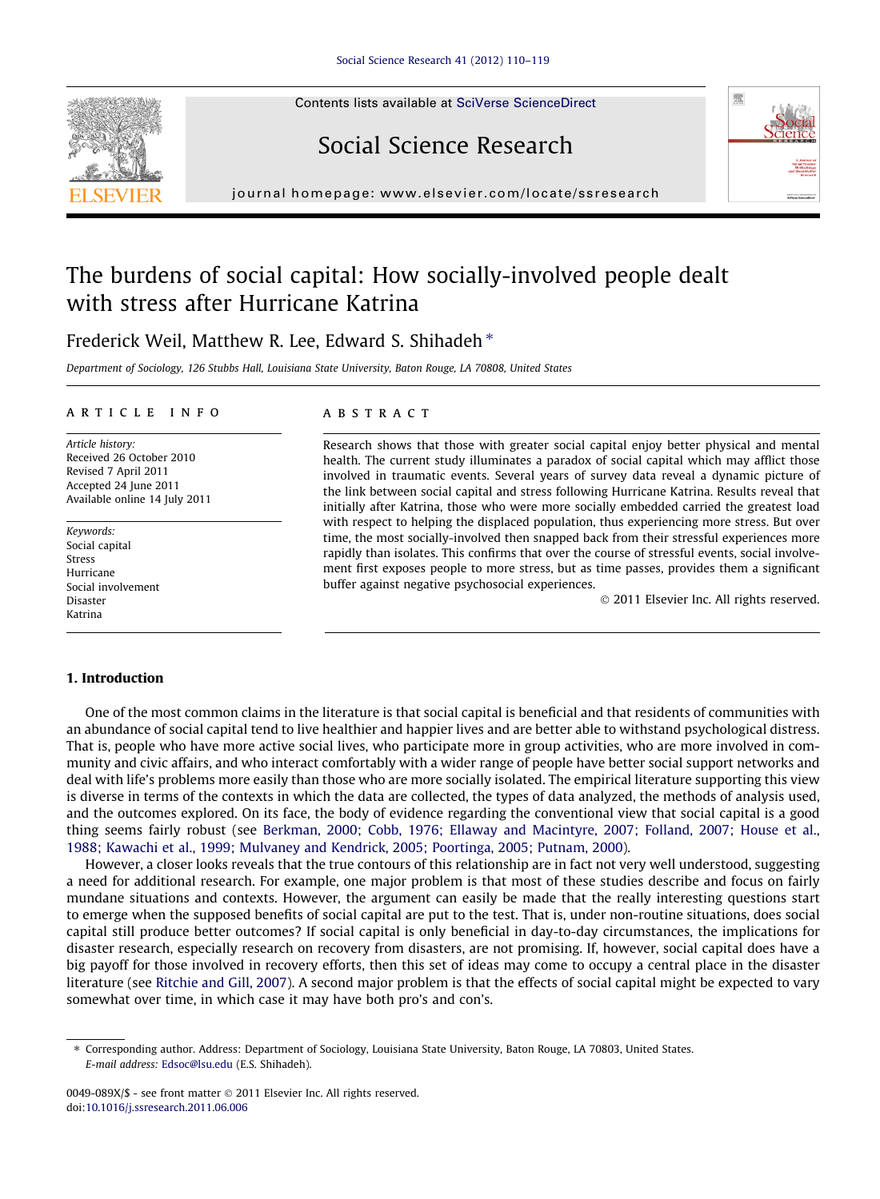Contents lists available at [SciVerse ScienceDirect](http://www.sciencedirect.com/science/journal/0049089X)







journal homepage: [www.elsevier.com/locate/ssresearch](http://www.elsevier.com/locate/ssresearch)

# The burdens of social capital: How socially-involved people dealt with stress after Hurricane Katrina

Frederick Weil, Matthew R. Lee, Edward S. Shihadeh\*

Department of Sociology, 126 Stubbs Hall, Louisiana State University, Baton Rouge, LA 70808, United States

## article info

Article history: Received 26 October 2010 Revised 7 April 2011 Accepted 24 June 2011 Available online 14 July 2011

Keywords: Social capital Stress Hurricane Social involvement Disaster Katrina

## **ABSTRACT**

Research shows that those with greater social capital enjoy better physical and mental health. The current study illuminates a paradox of social capital which may afflict those involved in traumatic events. Several years of survey data reveal a dynamic picture of the link between social capital and stress following Hurricane Katrina. Results reveal that initially after Katrina, those who were more socially embedded carried the greatest load with respect to helping the displaced population, thus experiencing more stress. But over time, the most socially-involved then snapped back from their stressful experiences more rapidly than isolates. This confirms that over the course of stressful events, social involvement first exposes people to more stress, but as time passes, provides them a significant buffer against negative psychosocial experiences.

- 2011 Elsevier Inc. All rights reserved.

### 1. Introduction

One of the most common claims in the literature is that social capital is beneficial and that residents of communities with an abundance of social capital tend to live healthier and happier lives and are better able to withstand psychological distress. That is, people who have more active social lives, who participate more in group activities, who are more involved in community and civic affairs, and who interact comfortably with a wider range of people have better social support networks and deal with life's problems more easily than those who are more socially isolated. The empirical literature supporting this view is diverse in terms of the contexts in which the data are collected, the types of data analyzed, the methods of analysis used, and the outcomes explored. On its face, the body of evidence regarding the conventional view that social capital is a good thing seems fairly robust (see [Berkman, 2000; Cobb, 1976; Ellaway and Macintyre, 2007; Folland, 2007; House et al.,](#page-9-0) [1988; Kawachi et al., 1999; Mulvaney and Kendrick, 2005; Poortinga, 2005; Putnam, 2000](#page-9-0)).

However, a closer looks reveals that the true contours of this relationship are in fact not very well understood, suggesting a need for additional research. For example, one major problem is that most of these studies describe and focus on fairly mundane situations and contexts. However, the argument can easily be made that the really interesting questions start to emerge when the supposed benefits of social capital are put to the test. That is, under non-routine situations, does social capital still produce better outcomes? If social capital is only beneficial in day-to-day circumstances, the implications for disaster research, especially research on recovery from disasters, are not promising. If, however, social capital does have a big payoff for those involved in recovery efforts, then this set of ideas may come to occupy a central place in the disaster literature (see [Ritchie and Gill, 2007\)](#page-9-0). A second major problem is that the effects of social capital might be expected to vary somewhat over time, in which case it may have both pro's and con's.

<sup>⇑</sup> Corresponding author. Address: Department of Sociology, Louisiana State University, Baton Rouge, LA 70803, United States. E-mail address: [Edsoc@lsu.edu](mailto:<xml_chg_old>edsoc@lsu.edu</xml_chg_old><xml_chg_new>Edsoc@lsu.edu</xml_chg_new>) (E.S. Shihadeh).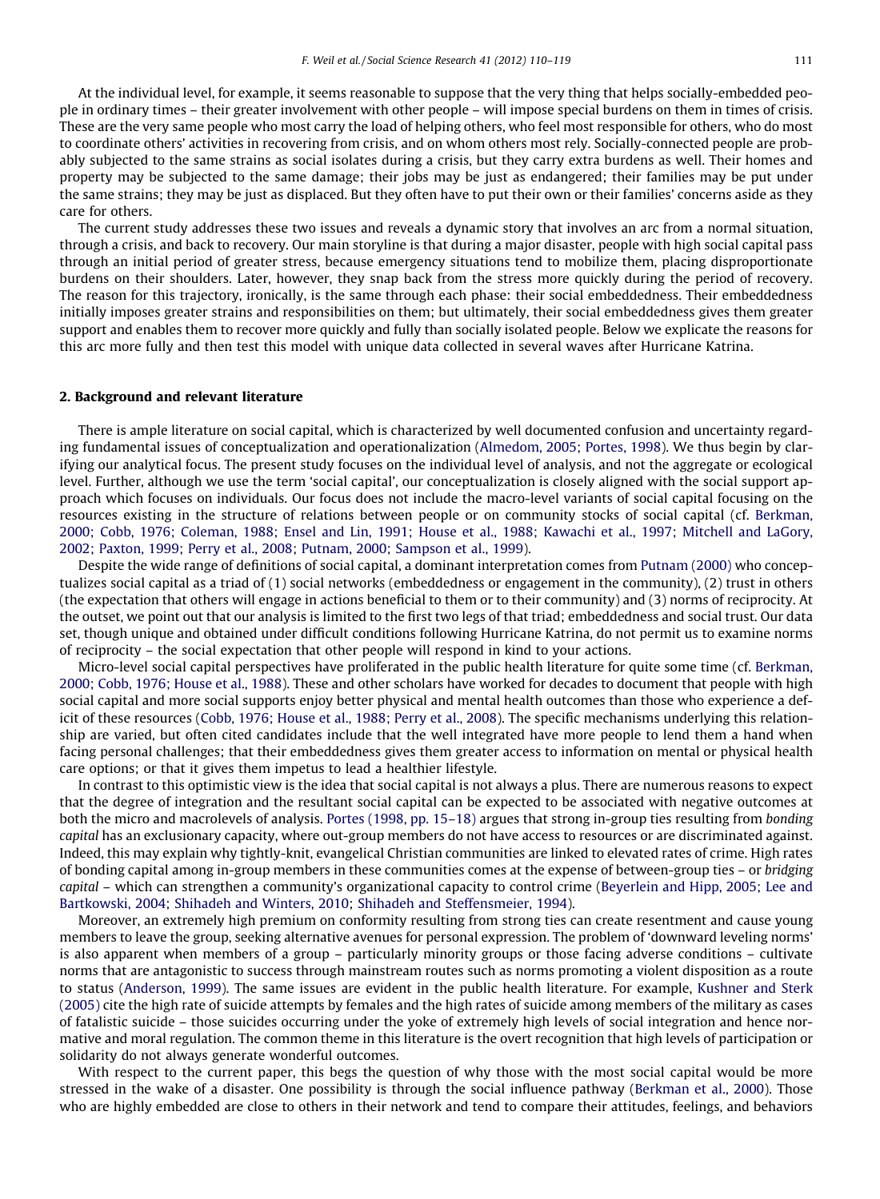At the individual level, for example, it seems reasonable to suppose that the very thing that helps socially-embedded people in ordinary times – their greater involvement with other people – will impose special burdens on them in times of crisis. These are the very same people who most carry the load of helping others, who feel most responsible for others, who do most to coordinate others' activities in recovering from crisis, and on whom others most rely. Socially-connected people are probably subjected to the same strains as social isolates during a crisis, but they carry extra burdens as well. Their homes and property may be subjected to the same damage; their jobs may be just as endangered; their families may be put under the same strains; they may be just as displaced. But they often have to put their own or their families' concerns aside as they care for others.

The current study addresses these two issues and reveals a dynamic story that involves an arc from a normal situation, through a crisis, and back to recovery. Our main storyline is that during a major disaster, people with high social capital pass through an initial period of greater stress, because emergency situations tend to mobilize them, placing disproportionate burdens on their shoulders. Later, however, they snap back from the stress more quickly during the period of recovery. The reason for this trajectory, ironically, is the same through each phase: their social embeddedness. Their embeddedness initially imposes greater strains and responsibilities on them; but ultimately, their social embeddedness gives them greater support and enables them to recover more quickly and fully than socially isolated people. Below we explicate the reasons for this arc more fully and then test this model with unique data collected in several waves after Hurricane Katrina.

#### 2. Background and relevant literature

There is ample literature on social capital, which is characterized by well documented confusion and uncertainty regarding fundamental issues of conceptualization and operationalization [\(Almedom, 2005; Portes, 1998](#page-9-0)). We thus begin by clarifying our analytical focus. The present study focuses on the individual level of analysis, and not the aggregate or ecological level. Further, although we use the term 'social capital', our conceptualization is closely aligned with the social support approach which focuses on individuals. Our focus does not include the macro-level variants of social capital focusing on the resources existing in the structure of relations between people or on community stocks of social capital (cf. [Berkman,](#page-9-0) [2000; Cobb, 1976; Coleman, 1988; Ensel and Lin, 1991; House et al., 1988; Kawachi et al., 1997; Mitchell and LaGory,](#page-9-0) [2002; Paxton, 1999; Perry et al., 2008; Putnam, 2000; Sampson et al., 1999\)](#page-9-0).

Despite the wide range of definitions of social capital, a dominant interpretation comes from [Putnam \(2000\)](#page-9-0) who conceptualizes social capital as a triad of (1) social networks (embeddedness or engagement in the community), (2) trust in others (the expectation that others will engage in actions beneficial to them or to their community) and (3) norms of reciprocity. At the outset, we point out that our analysis is limited to the first two legs of that triad; embeddedness and social trust. Our data set, though unique and obtained under difficult conditions following Hurricane Katrina, do not permit us to examine norms of reciprocity – the social expectation that other people will respond in kind to your actions.

Micro-level social capital perspectives have proliferated in the public health literature for quite some time (cf. [Berkman,](#page-9-0) [2000; Cobb, 1976; House et al., 1988\)](#page-9-0). These and other scholars have worked for decades to document that people with high social capital and more social supports enjoy better physical and mental health outcomes than those who experience a deficit of these resources [\(Cobb, 1976; House et al., 1988; Perry et al., 2008\)](#page-9-0). The specific mechanisms underlying this relationship are varied, but often cited candidates include that the well integrated have more people to lend them a hand when facing personal challenges; that their embeddedness gives them greater access to information on mental or physical health care options; or that it gives them impetus to lead a healthier lifestyle.

In contrast to this optimistic view is the idea that social capital is not always a plus. There are numerous reasons to expect that the degree of integration and the resultant social capital can be expected to be associated with negative outcomes at both the micro and macrolevels of analysis. [Portes \(1998, pp. 15–18\)](#page-9-0) argues that strong in-group ties resulting from bonding capital has an exclusionary capacity, where out-group members do not have access to resources or are discriminated against. Indeed, this may explain why tightly-knit, evangelical Christian communities are linked to elevated rates of crime. High rates of bonding capital among in-group members in these communities comes at the expense of between-group ties – or bridging capital – which can strengthen a community's organizational capacity to control crime [\(Beyerlein and Hipp, 2005; Lee and](#page-9-0) [Bartkowski, 2004; Shihadeh and Winters, 2010;](#page-9-0) [Shihadeh and Steffensmeier, 1994](#page-9-0)).

Moreover, an extremely high premium on conformity resulting from strong ties can create resentment and cause young members to leave the group, seeking alternative avenues for personal expression. The problem of 'downward leveling norms' is also apparent when members of a group – particularly minority groups or those facing adverse conditions – cultivate norms that are antagonistic to success through mainstream routes such as norms promoting a violent disposition as a route to status ([Anderson, 1999\)](#page-9-0). The same issues are evident in the public health literature. For example, [Kushner and Sterk](#page-9-0) [\(2005\)](#page-9-0) cite the high rate of suicide attempts by females and the high rates of suicide among members of the military as cases of fatalistic suicide – those suicides occurring under the yoke of extremely high levels of social integration and hence normative and moral regulation. The common theme in this literature is the overt recognition that high levels of participation or solidarity do not always generate wonderful outcomes.

With respect to the current paper, this begs the question of why those with the most social capital would be more stressed in the wake of a disaster. One possibility is through the social influence pathway ([Berkman et al., 2000\)](#page-9-0). Those who are highly embedded are close to others in their network and tend to compare their attitudes, feelings, and behaviors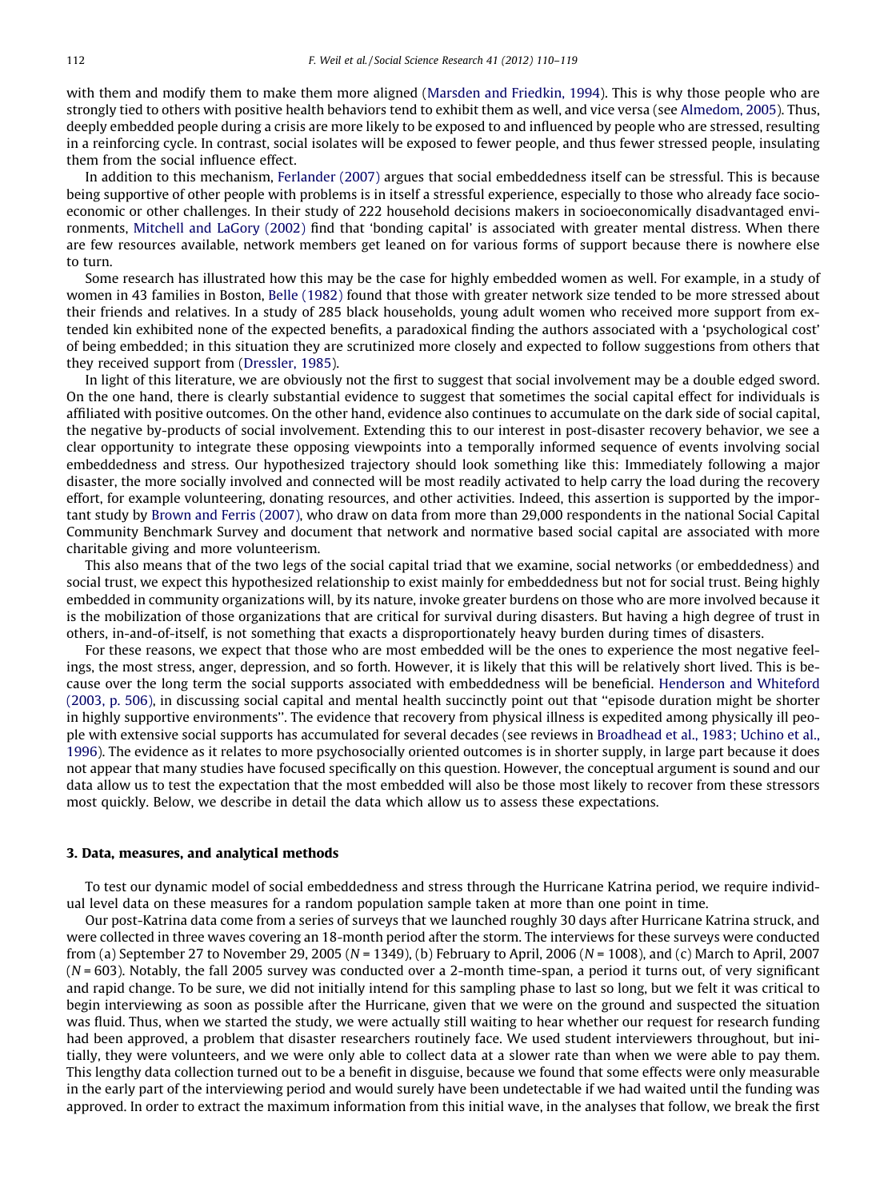with them and modify them to make them more aligned [\(Marsden and Friedkin, 1994](#page-9-0)). This is why those people who are strongly tied to others with positive health behaviors tend to exhibit them as well, and vice versa (see [Almedom, 2005\)](#page-9-0). Thus, deeply embedded people during a crisis are more likely to be exposed to and influenced by people who are stressed, resulting in a reinforcing cycle. In contrast, social isolates will be exposed to fewer people, and thus fewer stressed people, insulating them from the social influence effect.

In addition to this mechanism, [Ferlander \(2007\)](#page-9-0) argues that social embeddedness itself can be stressful. This is because being supportive of other people with problems is in itself a stressful experience, especially to those who already face socioeconomic or other challenges. In their study of 222 household decisions makers in socioeconomically disadvantaged environments, [Mitchell and LaGory \(2002\)](#page-9-0) find that 'bonding capital' is associated with greater mental distress. When there are few resources available, network members get leaned on for various forms of support because there is nowhere else to turn.

Some research has illustrated how this may be the case for highly embedded women as well. For example, in a study of women in 43 families in Boston, [Belle \(1982\)](#page-9-0) found that those with greater network size tended to be more stressed about their friends and relatives. In a study of 285 black households, young adult women who received more support from extended kin exhibited none of the expected benefits, a paradoxical finding the authors associated with a 'psychological cost' of being embedded; in this situation they are scrutinized more closely and expected to follow suggestions from others that they received support from ([Dressler, 1985](#page-9-0)).

In light of this literature, we are obviously not the first to suggest that social involvement may be a double edged sword. On the one hand, there is clearly substantial evidence to suggest that sometimes the social capital effect for individuals is affiliated with positive outcomes. On the other hand, evidence also continues to accumulate on the dark side of social capital, the negative by-products of social involvement. Extending this to our interest in post-disaster recovery behavior, we see a clear opportunity to integrate these opposing viewpoints into a temporally informed sequence of events involving social embeddedness and stress. Our hypothesized trajectory should look something like this: Immediately following a major disaster, the more socially involved and connected will be most readily activated to help carry the load during the recovery effort, for example volunteering, donating resources, and other activities. Indeed, this assertion is supported by the important study by [Brown and Ferris \(2007\)](#page-9-0), who draw on data from more than 29,000 respondents in the national Social Capital Community Benchmark Survey and document that network and normative based social capital are associated with more charitable giving and more volunteerism.

This also means that of the two legs of the social capital triad that we examine, social networks (or embeddedness) and social trust, we expect this hypothesized relationship to exist mainly for embeddedness but not for social trust. Being highly embedded in community organizations will, by its nature, invoke greater burdens on those who are more involved because it is the mobilization of those organizations that are critical for survival during disasters. But having a high degree of trust in others, in-and-of-itself, is not something that exacts a disproportionately heavy burden during times of disasters.

For these reasons, we expect that those who are most embedded will be the ones to experience the most negative feelings, the most stress, anger, depression, and so forth. However, it is likely that this will be relatively short lived. This is because over the long term the social supports associated with embeddedness will be beneficial. [Henderson and Whiteford](#page-9-0) [\(2003, p. 506\)](#page-9-0), in discussing social capital and mental health succinctly point out that ''episode duration might be shorter in highly supportive environments''. The evidence that recovery from physical illness is expedited among physically ill people with extensive social supports has accumulated for several decades (see reviews in [Broadhead et al., 1983; Uchino et al.,](#page-9-0) [1996](#page-9-0)). The evidence as it relates to more psychosocially oriented outcomes is in shorter supply, in large part because it does not appear that many studies have focused specifically on this question. However, the conceptual argument is sound and our data allow us to test the expectation that the most embedded will also be those most likely to recover from these stressors most quickly. Below, we describe in detail the data which allow us to assess these expectations.

#### 3. Data, measures, and analytical methods

To test our dynamic model of social embeddedness and stress through the Hurricane Katrina period, we require individual level data on these measures for a random population sample taken at more than one point in time.

Our post-Katrina data come from a series of surveys that we launched roughly 30 days after Hurricane Katrina struck, and were collected in three waves covering an 18-month period after the storm. The interviews for these surveys were conducted from (a) September 27 to November 29, 2005 ( $N = 1349$ ), (b) February to April, 2006 ( $N = 1008$ ), and (c) March to April, 2007  $(N = 603)$ . Notably, the fall 2005 survey was conducted over a 2-month time-span, a period it turns out, of very significant and rapid change. To be sure, we did not initially intend for this sampling phase to last so long, but we felt it was critical to begin interviewing as soon as possible after the Hurricane, given that we were on the ground and suspected the situation was fluid. Thus, when we started the study, we were actually still waiting to hear whether our request for research funding had been approved, a problem that disaster researchers routinely face. We used student interviewers throughout, but initially, they were volunteers, and we were only able to collect data at a slower rate than when we were able to pay them. This lengthy data collection turned out to be a benefit in disguise, because we found that some effects were only measurable in the early part of the interviewing period and would surely have been undetectable if we had waited until the funding was approved. In order to extract the maximum information from this initial wave, in the analyses that follow, we break the first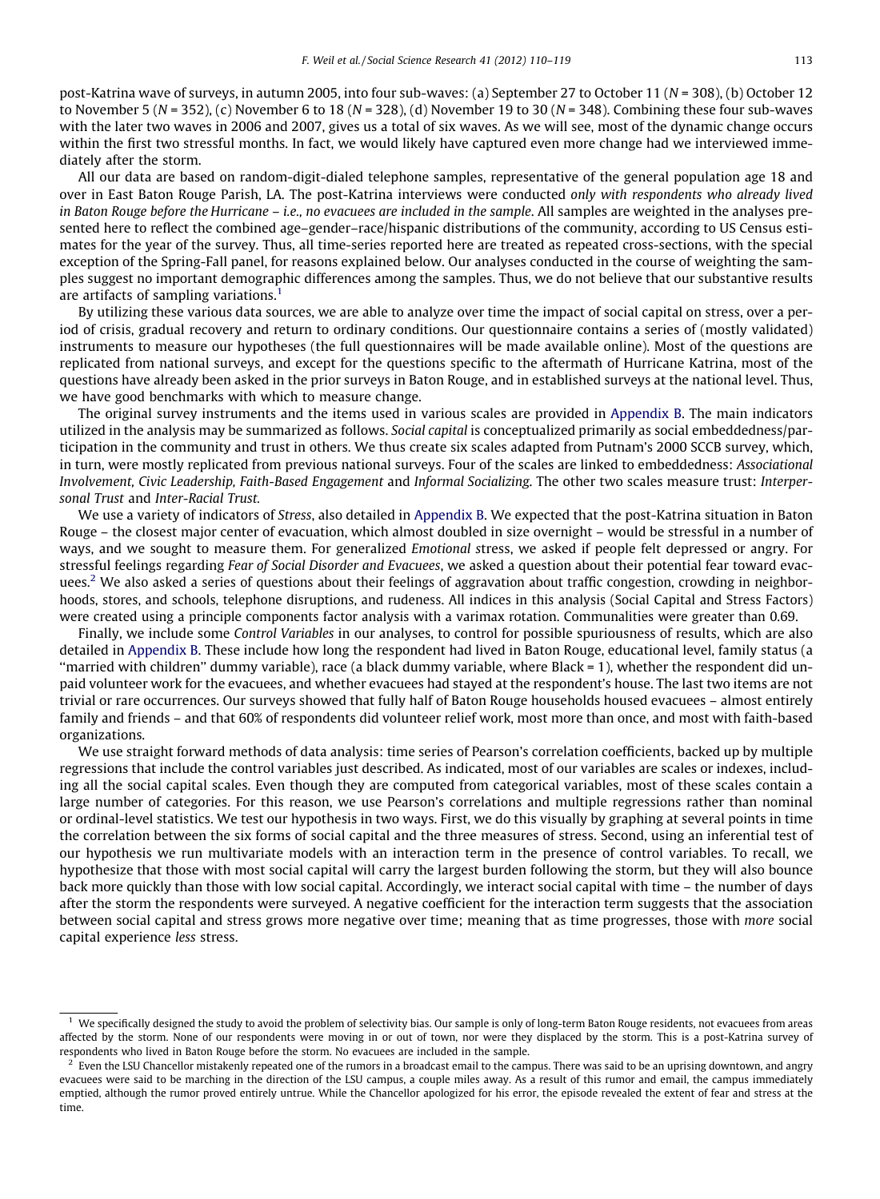post-Katrina wave of surveys, in autumn 2005, into four sub-waves: (a) September 27 to October 11 (N = 308), (b) October 12 to November 5 ( $N = 352$ ), (c) November 6 to 18 ( $N = 328$ ), (d) November 19 to 30 ( $N = 348$ ). Combining these four sub-waves with the later two waves in 2006 and 2007, gives us a total of six waves. As we will see, most of the dynamic change occurs within the first two stressful months. In fact, we would likely have captured even more change had we interviewed immediately after the storm.

All our data are based on random-digit-dialed telephone samples, representative of the general population age 18 and over in East Baton Rouge Parish, LA. The post-Katrina interviews were conducted only with respondents who already lived in Baton Rouge before the Hurricane – i.e., no evacuees are included in the sample. All samples are weighted in the analyses presented here to reflect the combined age–gender–race/hispanic distributions of the community, according to US Census estimates for the year of the survey. Thus, all time-series reported here are treated as repeated cross-sections, with the special exception of the Spring-Fall panel, for reasons explained below. Our analyses conducted in the course of weighting the samples suggest no important demographic differences among the samples. Thus, we do not believe that our substantive results are artifacts of sampling variations.<sup>1</sup>

By utilizing these various data sources, we are able to analyze over time the impact of social capital on stress, over a period of crisis, gradual recovery and return to ordinary conditions. Our questionnaire contains a series of (mostly validated) instruments to measure our hypotheses (the full questionnaires will be made available online). Most of the questions are replicated from national surveys, and except for the questions specific to the aftermath of Hurricane Katrina, most of the questions have already been asked in the prior surveys in Baton Rouge, and in established surveys at the national level. Thus, we have good benchmarks with which to measure change.

The original survey instruments and the items used in various scales are provided in Appendix B. The main indicators utilized in the analysis may be summarized as follows. Social capital is conceptualized primarily as social embeddedness/participation in the community and trust in others. We thus create six scales adapted from Putnam's 2000 SCCB survey, which, in turn, were mostly replicated from previous national surveys. Four of the scales are linked to embeddedness: Associational Involvement, Civic Leadership, Faith-Based Engagement and Informal Socializing. The other two scales measure trust: Interpersonal Trust and Inter-Racial Trust.

We use a variety of indicators of Stress, also detailed in Appendix B. We expected that the post-Katrina situation in Baton Rouge – the closest major center of evacuation, which almost doubled in size overnight – would be stressful in a number of ways, and we sought to measure them. For generalized Emotional stress, we asked if people felt depressed or angry. For stressful feelings regarding Fear of Social Disorder and Evacuees, we asked a question about their potential fear toward evacuees.<sup>2</sup> We also asked a series of questions about their feelings of aggravation about traffic congestion, crowding in neighborhoods, stores, and schools, telephone disruptions, and rudeness. All indices in this analysis (Social Capital and Stress Factors) were created using a principle components factor analysis with a varimax rotation. Communalities were greater than 0.69.

Finally, we include some Control Variables in our analyses, to control for possible spuriousness of results, which are also detailed in Appendix B. These include how long the respondent had lived in Baton Rouge, educational level, family status (a ''married with children'' dummy variable), race (a black dummy variable, where Black = 1), whether the respondent did unpaid volunteer work for the evacuees, and whether evacuees had stayed at the respondent's house. The last two items are not trivial or rare occurrences. Our surveys showed that fully half of Baton Rouge households housed evacuees – almost entirely family and friends – and that 60% of respondents did volunteer relief work, most more than once, and most with faith-based organizations.

We use straight forward methods of data analysis: time series of Pearson's correlation coefficients, backed up by multiple regressions that include the control variables just described. As indicated, most of our variables are scales or indexes, including all the social capital scales. Even though they are computed from categorical variables, most of these scales contain a large number of categories. For this reason, we use Pearson's correlations and multiple regressions rather than nominal or ordinal-level statistics. We test our hypothesis in two ways. First, we do this visually by graphing at several points in time the correlation between the six forms of social capital and the three measures of stress. Second, using an inferential test of our hypothesis we run multivariate models with an interaction term in the presence of control variables. To recall, we hypothesize that those with most social capital will carry the largest burden following the storm, but they will also bounce back more quickly than those with low social capital. Accordingly, we interact social capital with time – the number of days after the storm the respondents were surveyed. A negative coefficient for the interaction term suggests that the association between social capital and stress grows more negative over time; meaning that as time progresses, those with more social capital experience less stress.

 $1$  We specifically designed the study to avoid the problem of selectivity bias. Our sample is only of long-term Baton Rouge residents, not evacuees from areas affected by the storm. None of our respondents were moving in or out of town, nor were they displaced by the storm. This is a post-Katrina survey of respondents who lived in Baton Rouge before the storm. No evacuees are included in the sample.

 $2$  Even the LSU Chancellor mistakenly repeated one of the rumors in a broadcast email to the campus. There was said to be an uprising downtown, and angry evacuees were said to be marching in the direction of the LSU campus, a couple miles away. As a result of this rumor and email, the campus immediately emptied, although the rumor proved entirely untrue. While the Chancellor apologized for his error, the episode revealed the extent of fear and stress at the time.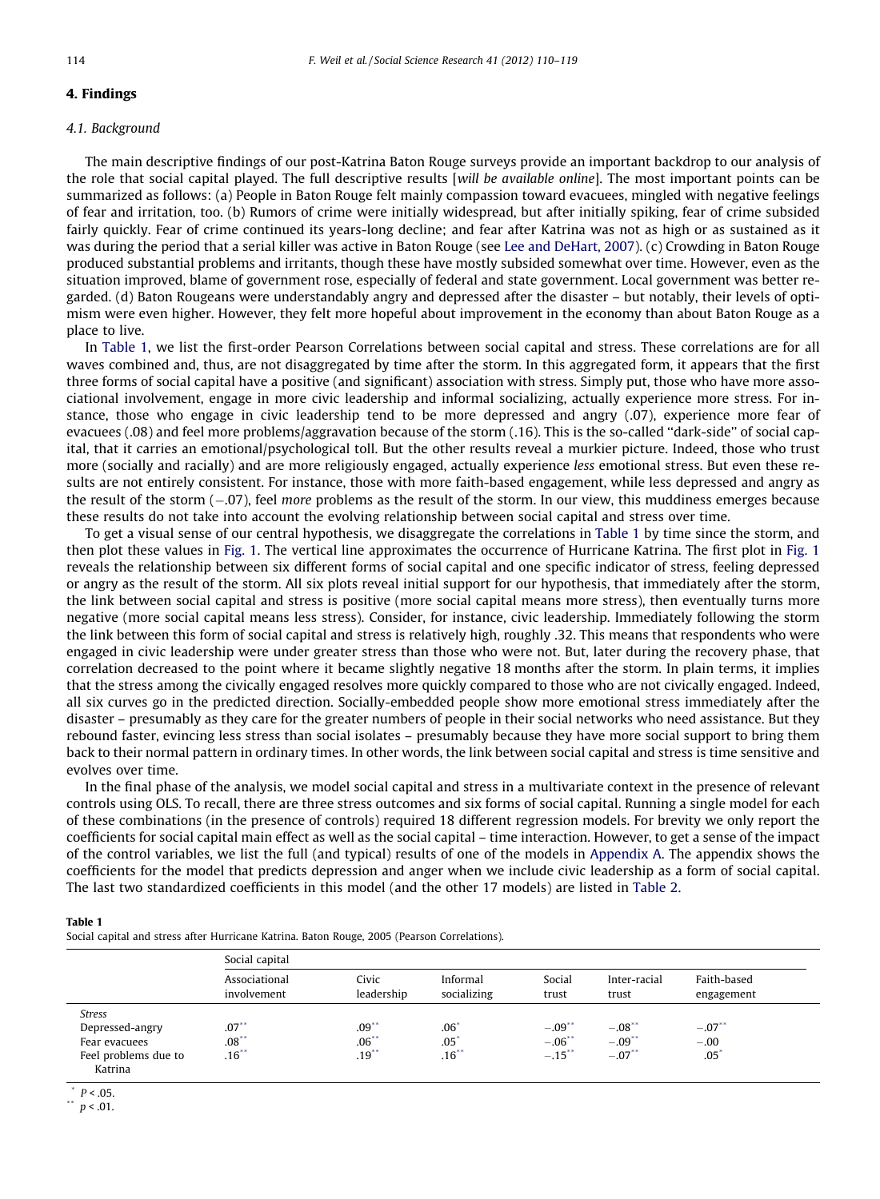## <span id="page-4-0"></span>4. Findings

## 4.1. Background

The main descriptive findings of our post-Katrina Baton Rouge surveys provide an important backdrop to our analysis of the role that social capital played. The full descriptive results [will be available online]. The most important points can be summarized as follows: (a) People in Baton Rouge felt mainly compassion toward evacuees, mingled with negative feelings of fear and irritation, too. (b) Rumors of crime were initially widespread, but after initially spiking, fear of crime subsided fairly quickly. Fear of crime continued its years-long decline; and fear after Katrina was not as high or as sustained as it was during the period that a serial killer was active in Baton Rouge (see [Lee and DeHart, 2007\)](#page-9-0). (c) Crowding in Baton Rouge produced substantial problems and irritants, though these have mostly subsided somewhat over time. However, even as the situation improved, blame of government rose, especially of federal and state government. Local government was better regarded. (d) Baton Rougeans were understandably angry and depressed after the disaster – but notably, their levels of optimism were even higher. However, they felt more hopeful about improvement in the economy than about Baton Rouge as a place to live.

In Table 1, we list the first-order Pearson Correlations between social capital and stress. These correlations are for all waves combined and, thus, are not disaggregated by time after the storm. In this aggregated form, it appears that the first three forms of social capital have a positive (and significant) association with stress. Simply put, those who have more associational involvement, engage in more civic leadership and informal socializing, actually experience more stress. For instance, those who engage in civic leadership tend to be more depressed and angry (.07), experience more fear of evacuees (.08) and feel more problems/aggravation because of the storm (.16). This is the so-called ''dark-side'' of social capital, that it carries an emotional/psychological toll. But the other results reveal a murkier picture. Indeed, those who trust more (socially and racially) and are more religiously engaged, actually experience less emotional stress. But even these results are not entirely consistent. For instance, those with more faith-based engagement, while less depressed and angry as the result of the storm (–.07), feel *more* problems as the result of the storm. In our view, this muddiness emerges because these results do not take into account the evolving relationship between social capital and stress over time.

To get a visual sense of our central hypothesis, we disaggregate the correlations in Table 1 by time since the storm, and then plot these values in [Fig. 1](#page-5-0). The vertical line approximates the occurrence of Hurricane Katrina. The first plot in [Fig. 1](#page-5-0) reveals the relationship between six different forms of social capital and one specific indicator of stress, feeling depressed or angry as the result of the storm. All six plots reveal initial support for our hypothesis, that immediately after the storm, the link between social capital and stress is positive (more social capital means more stress), then eventually turns more negative (more social capital means less stress). Consider, for instance, civic leadership. Immediately following the storm the link between this form of social capital and stress is relatively high, roughly .32. This means that respondents who were engaged in civic leadership were under greater stress than those who were not. But, later during the recovery phase, that correlation decreased to the point where it became slightly negative 18 months after the storm. In plain terms, it implies that the stress among the civically engaged resolves more quickly compared to those who are not civically engaged. Indeed, all six curves go in the predicted direction. Socially-embedded people show more emotional stress immediately after the disaster – presumably as they care for the greater numbers of people in their social networks who need assistance. But they rebound faster, evincing less stress than social isolates – presumably because they have more social support to bring them back to their normal pattern in ordinary times. In other words, the link between social capital and stress is time sensitive and evolves over time.

In the final phase of the analysis, we model social capital and stress in a multivariate context in the presence of relevant controls using OLS. To recall, there are three stress outcomes and six forms of social capital. Running a single model for each of these combinations (in the presence of controls) required 18 different regression models. For brevity we only report the coefficients for social capital main effect as well as the social capital – time interaction. However, to get a sense of the impact of the control variables, we list the full (and typical) results of one of the models in Appendix A. The appendix shows the coefficients for the model that predicts depression and anger when we include civic leadership as a form of social capital. The last two standardized coefficients in this model (and the other 17 models) are listed in [Table 2.](#page-6-0)

#### Table 1

Social capital and stress after Hurricane Katrina. Baton Rouge, 2005 (Pearson Correlations).

|                                 | Social capital               |                     |                         |                 |                       |                           |  |
|---------------------------------|------------------------------|---------------------|-------------------------|-----------------|-----------------------|---------------------------|--|
|                                 | Associational<br>involvement | Civic<br>leadership | Informal<br>socializing | Social<br>trust | Inter-racial<br>trust | Faith-based<br>engagement |  |
| <b>Stress</b>                   |                              |                     |                         |                 |                       |                           |  |
| Depressed-angry                 | $.07$ $\degree$              | $.09***$            | .06'                    | $-.09$ **       | $-.08$                | $-.07$ <sup>*</sup>       |  |
| Fear evacuees                   | $.08***$                     | .06                 | $.05^*$                 | $-.06"$         | $-.09$ <sup>**</sup>  | $-.00$                    |  |
| Feel problems due to<br>Katrina | .16                          | $.19$ <sup>**</sup> | .16                     | $-.15"$         | $-.07$ <sup>**</sup>  | .05                       |  |

 $P < .05$ .

 $p < .01$ .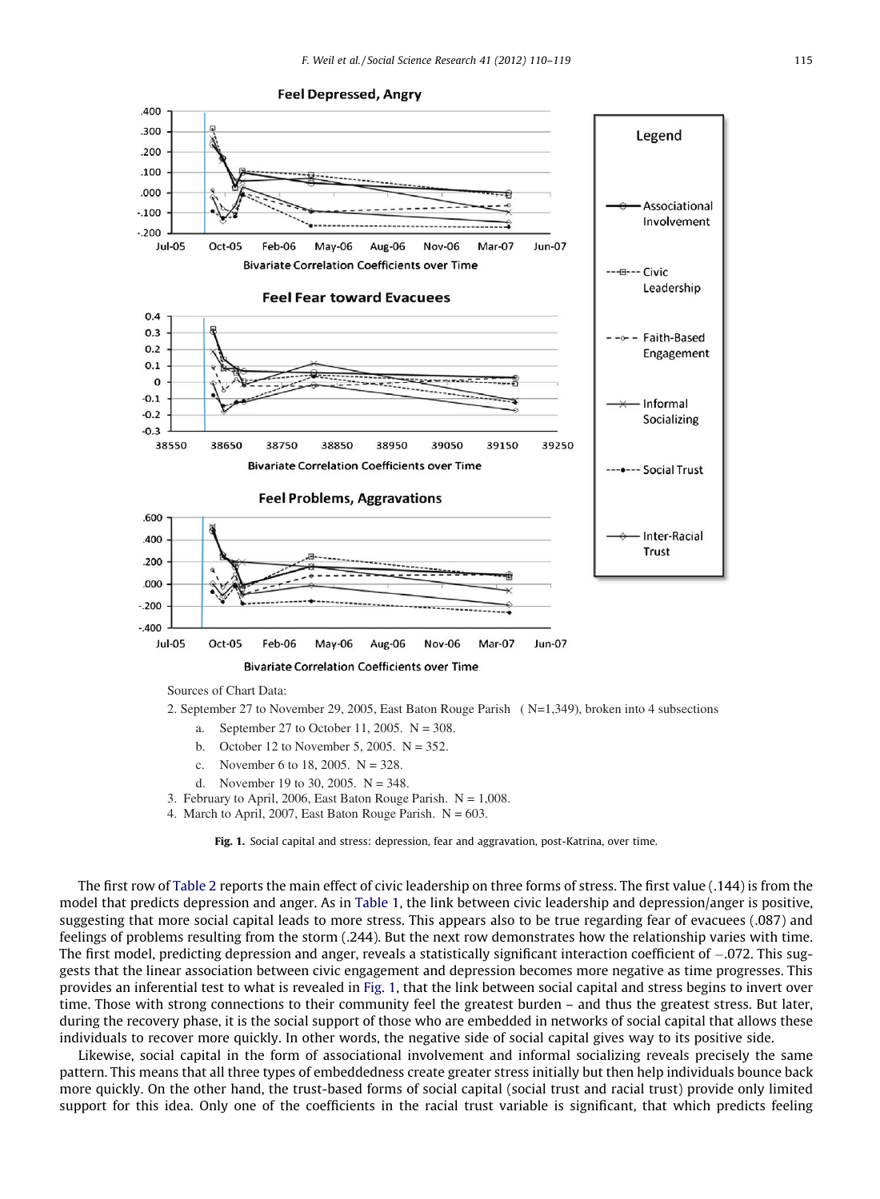<span id="page-5-0"></span>

Sources of Chart Data:

2. September 27 to November 29, 2005, East Baton Rouge Parish ( N=1,349), broken into 4 subsections

- a. September 27 to October 11, 2005.  $N = 308$ .
- b. October 12 to November 5, 2005.  $N = 352$ .
- c. November 6 to 18, 2005.  $N = 328$ .
- d. November 19 to 30, 2005.  $N = 348$ .
- 3. February to April, 2006, East Baton Rouge Parish.  $N = 1,008$ .
- 4. March to April, 2007, East Baton Rouge Parish.  $N = 603$ .

Fig. 1. Social capital and stress: depression, fear and aggravation, post-Katrina, over time.

The first row of [Table 2](#page-6-0) reports the main effect of civic leadership on three forms of stress. The first value (.144) is from the model that predicts depression and anger. As in [Table 1](#page-4-0), the link between civic leadership and depression/anger is positive, suggesting that more social capital leads to more stress. This appears also to be true regarding fear of evacuees (.087) and feelings of problems resulting from the storm (.244). But the next row demonstrates how the relationship varies with time. The first model, predicting depression and anger, reveals a statistically significant interaction coefficient of –.072. This suggests that the linear association between civic engagement and depression becomes more negative as time progresses. This provides an inferential test to what is revealed in Fig. 1, that the link between social capital and stress begins to invert over time. Those with strong connections to their community feel the greatest burden – and thus the greatest stress. But later, during the recovery phase, it is the social support of those who are embedded in networks of social capital that allows these individuals to recover more quickly. In other words, the negative side of social capital gives way to its positive side.

Likewise, social capital in the form of associational involvement and informal socializing reveals precisely the same pattern. This means that all three types of embeddedness create greater stress initially but then help individuals bounce back more quickly. On the other hand, the trust-based forms of social capital (social trust and racial trust) provide only limited support for this idea. Only one of the coefficients in the racial trust variable is significant, that which predicts feeling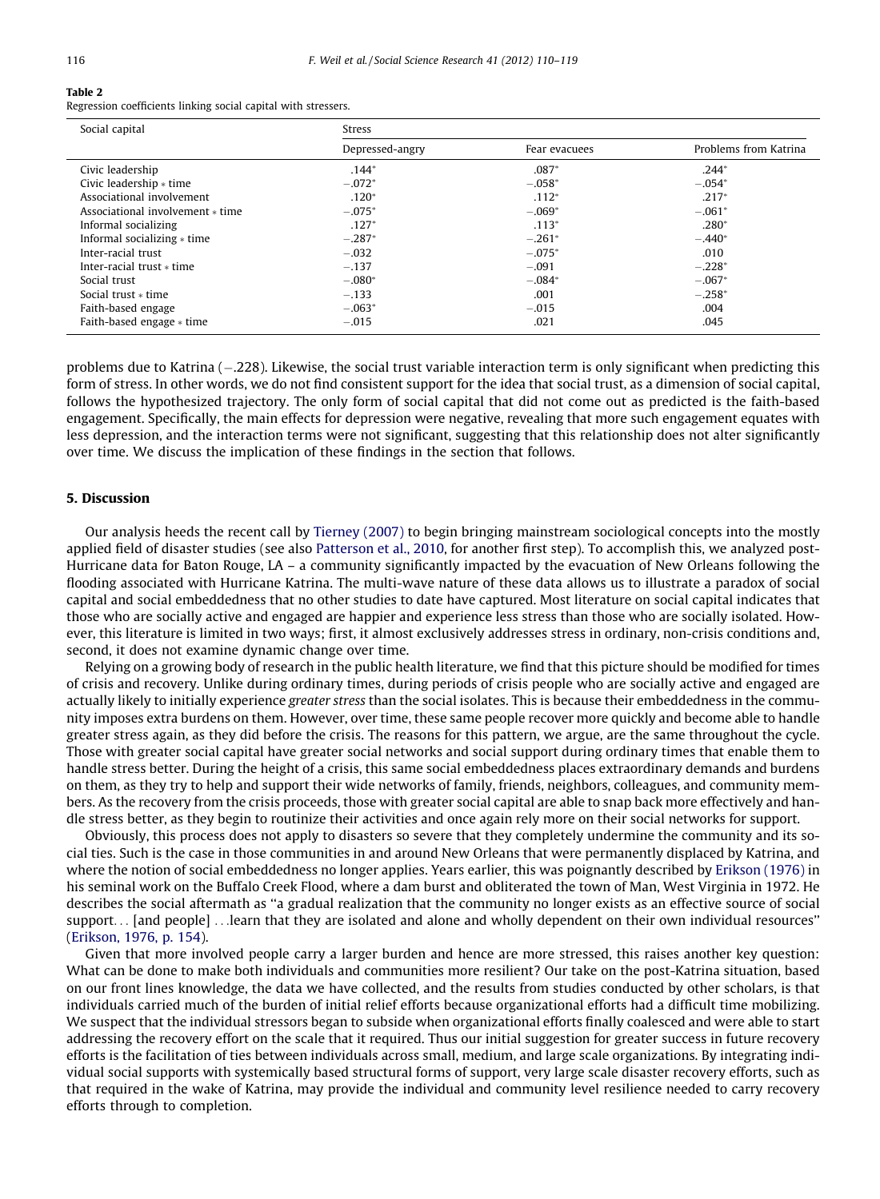## <span id="page-6-0"></span>Table 2

Regression coefficients linking social capital with stressers.

| Social capital                   | <b>Stress</b>   |               |                       |  |  |
|----------------------------------|-----------------|---------------|-----------------------|--|--|
|                                  | Depressed-angry | Fear evacuees | Problems from Katrina |  |  |
| Civic leadership                 | $.144*$         | $.087*$       | $.244*$               |  |  |
| Civic leadership * time          | $-.072*$        | $-.058*$      | $-.054*$              |  |  |
| Associational involvement        | $.120*$         | $.112*$       | $.217*$               |  |  |
| Associational involvement * time | $-.075*$        | $-.069*$      | $-.061*$              |  |  |
| Informal socializing             | $.127*$         | $.113*$       | $.280*$               |  |  |
| Informal socializing * time      | $-.287*$        | $-.261*$      | $-.440*$              |  |  |
| Inter-racial trust               | $-.032$         | $-.075*$      | .010                  |  |  |
| Inter-racial trust * time        | $-.137$         | $-.091$       | $-.228*$              |  |  |
| Social trust                     | $-.080*$        | $-.084*$      | $-.067*$              |  |  |
| Social trust $*$ time            | $-.133$         | .001          | $-.258*$              |  |  |
| Faith-based engage               | $-.063*$        | $-.015$       | .004                  |  |  |
| Faith-based engage * time        | $-.015$         | .021          | .045                  |  |  |

problems due to Katrina (–.228). Likewise, the social trust variable interaction term is only significant when predicting this form of stress. In other words, we do not find consistent support for the idea that social trust, as a dimension of social capital, follows the hypothesized trajectory. The only form of social capital that did not come out as predicted is the faith-based engagement. Specifically, the main effects for depression were negative, revealing that more such engagement equates with less depression, and the interaction terms were not significant, suggesting that this relationship does not alter significantly over time. We discuss the implication of these findings in the section that follows.

## 5. Discussion

Our analysis heeds the recent call by [Tierney \(2007\)](#page-9-0) to begin bringing mainstream sociological concepts into the mostly applied field of disaster studies (see also [Patterson et al., 2010,](#page-9-0) for another first step). To accomplish this, we analyzed post-Hurricane data for Baton Rouge, LA – a community significantly impacted by the evacuation of New Orleans following the flooding associated with Hurricane Katrina. The multi-wave nature of these data allows us to illustrate a paradox of social capital and social embeddedness that no other studies to date have captured. Most literature on social capital indicates that those who are socially active and engaged are happier and experience less stress than those who are socially isolated. However, this literature is limited in two ways; first, it almost exclusively addresses stress in ordinary, non-crisis conditions and, second, it does not examine dynamic change over time.

Relying on a growing body of research in the public health literature, we find that this picture should be modified for times of crisis and recovery. Unlike during ordinary times, during periods of crisis people who are socially active and engaged are actually likely to initially experience greater stress than the social isolates. This is because their embeddedness in the community imposes extra burdens on them. However, over time, these same people recover more quickly and become able to handle greater stress again, as they did before the crisis. The reasons for this pattern, we argue, are the same throughout the cycle. Those with greater social capital have greater social networks and social support during ordinary times that enable them to handle stress better. During the height of a crisis, this same social embeddedness places extraordinary demands and burdens on them, as they try to help and support their wide networks of family, friends, neighbors, colleagues, and community members. As the recovery from the crisis proceeds, those with greater social capital are able to snap back more effectively and handle stress better, as they begin to routinize their activities and once again rely more on their social networks for support.

Obviously, this process does not apply to disasters so severe that they completely undermine the community and its social ties. Such is the case in those communities in and around New Orleans that were permanently displaced by Katrina, and where the notion of social embeddedness no longer applies. Years earlier, this was poignantly described by [Erikson \(1976\)](#page-9-0) in his seminal work on the Buffalo Creek Flood, where a dam burst and obliterated the town of Man, West Virginia in 1972. He describes the social aftermath as ''a gradual realization that the community no longer exists as an effective source of social support... [and people] ...learn that they are isolated and alone and wholly dependent on their own individual resources'' [\(Erikson, 1976, p. 154](#page-9-0)).

Given that more involved people carry a larger burden and hence are more stressed, this raises another key question: What can be done to make both individuals and communities more resilient? Our take on the post-Katrina situation, based on our front lines knowledge, the data we have collected, and the results from studies conducted by other scholars, is that individuals carried much of the burden of initial relief efforts because organizational efforts had a difficult time mobilizing. We suspect that the individual stressors began to subside when organizational efforts finally coalesced and were able to start addressing the recovery effort on the scale that it required. Thus our initial suggestion for greater success in future recovery efforts is the facilitation of ties between individuals across small, medium, and large scale organizations. By integrating individual social supports with systemically based structural forms of support, very large scale disaster recovery efforts, such as that required in the wake of Katrina, may provide the individual and community level resilience needed to carry recovery efforts through to completion.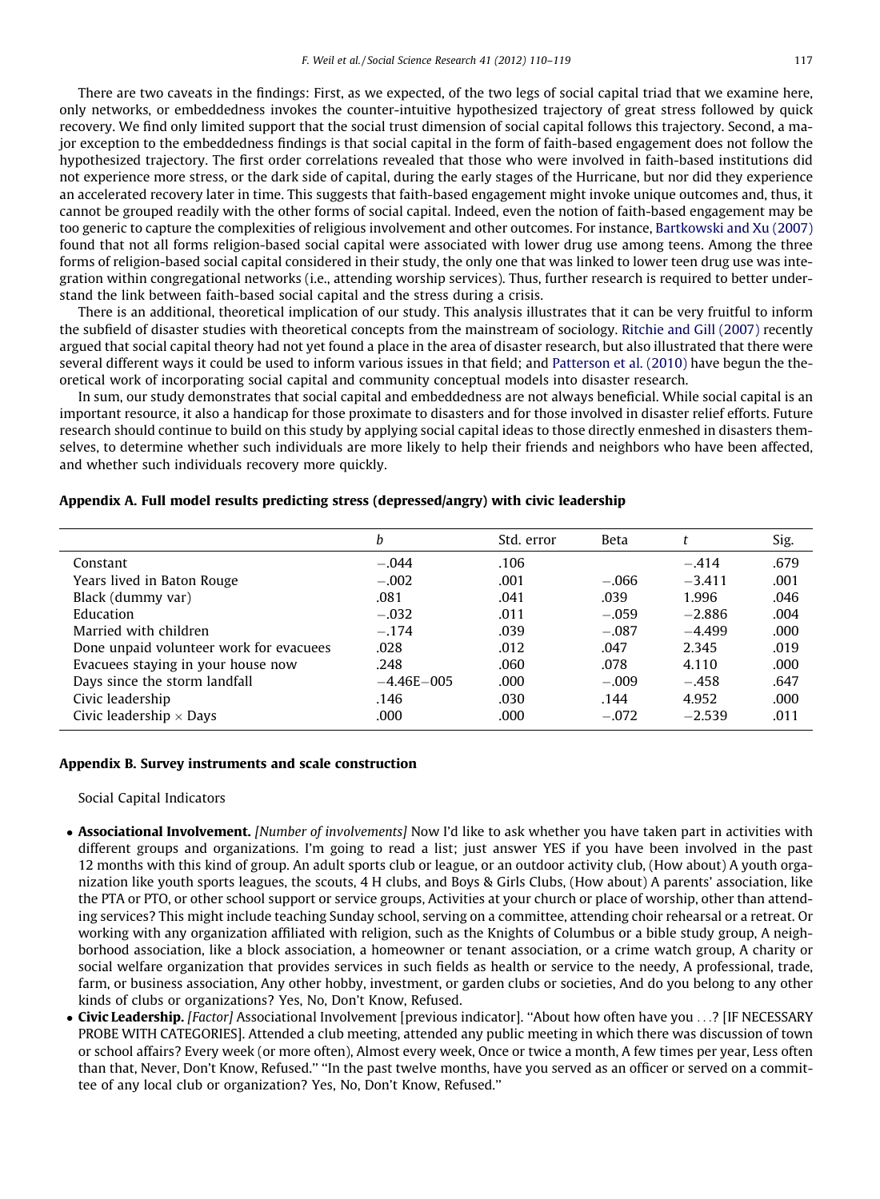There are two caveats in the findings: First, as we expected, of the two legs of social capital triad that we examine here, only networks, or embeddedness invokes the counter-intuitive hypothesized trajectory of great stress followed by quick recovery. We find only limited support that the social trust dimension of social capital follows this trajectory. Second, a major exception to the embeddedness findings is that social capital in the form of faith-based engagement does not follow the hypothesized trajectory. The first order correlations revealed that those who were involved in faith-based institutions did not experience more stress, or the dark side of capital, during the early stages of the Hurricane, but nor did they experience an accelerated recovery later in time. This suggests that faith-based engagement might invoke unique outcomes and, thus, it cannot be grouped readily with the other forms of social capital. Indeed, even the notion of faith-based engagement may be too generic to capture the complexities of religious involvement and other outcomes. For instance, [Bartkowski and Xu \(2007\)](#page-9-0) found that not all forms religion-based social capital were associated with lower drug use among teens. Among the three forms of religion-based social capital considered in their study, the only one that was linked to lower teen drug use was integration within congregational networks (i.e., attending worship services). Thus, further research is required to better understand the link between faith-based social capital and the stress during a crisis.

There is an additional, theoretical implication of our study. This analysis illustrates that it can be very fruitful to inform the subfield of disaster studies with theoretical concepts from the mainstream of sociology. [Ritchie and Gill \(2007\)](#page-9-0) recently argued that social capital theory had not yet found a place in the area of disaster research, but also illustrated that there were several different ways it could be used to inform various issues in that field; and [Patterson et al. \(2010\)](#page-9-0) have begun the theoretical work of incorporating social capital and community conceptual models into disaster research.

In sum, our study demonstrates that social capital and embeddedness are not always beneficial. While social capital is an important resource, it also a handicap for those proximate to disasters and for those involved in disaster relief efforts. Future research should continue to build on this study by applying social capital ideas to those directly enmeshed in disasters themselves, to determine whether such individuals are more likely to help their friends and neighbors who have been affected, and whether such individuals recovery more quickly.

|                                         |                | Std. error | Beta    |          | Sig. |
|-----------------------------------------|----------------|------------|---------|----------|------|
| Constant                                | $-.044$        | .106       |         | $-.414$  | .679 |
| Years lived in Baton Rouge              | $-.002$        | .001       | $-.066$ | $-3.411$ | .001 |
| Black (dummy var)                       | .081           | .041       | .039    | 1.996    | .046 |
| Education                               | $-.032$        | .011       | $-.059$ | $-2.886$ | .004 |
| Married with children                   | $-.174$        | .039       | $-.087$ | $-4.499$ | .000 |
| Done unpaid volunteer work for evacuees | .028           | .012       | .047    | 2.345    | .019 |
| Evacuees staying in your house now      | .248           | .060       | .078    | 4.110    | .000 |
| Days since the storm landfall           | $-4.46E - 005$ | .000       | $-.009$ | $-.458$  | .647 |
| Civic leadership                        | .146           | .030       | .144    | 4.952    | .000 |
| Civic leadership $\times$ Days          | .000           | .000       | $-.072$ | $-2.539$ | .011 |

## Appendix A. Full model results predicting stress (depressed/angry) with civic leadership

#### Appendix B. Survey instruments and scale construction

#### Social Capital Indicators

- Associational Involvement. [Number of involvements] Now I'd like to ask whether you have taken part in activities with different groups and organizations. I'm going to read a list; just answer YES if you have been involved in the past 12 months with this kind of group. An adult sports club or league, or an outdoor activity club, (How about) A youth organization like youth sports leagues, the scouts, 4 H clubs, and Boys & Girls Clubs, (How about) A parents' association, like the PTA or PTO, or other school support or service groups, Activities at your church or place of worship, other than attending services? This might include teaching Sunday school, serving on a committee, attending choir rehearsal or a retreat. Or working with any organization affiliated with religion, such as the Knights of Columbus or a bible study group, A neighborhood association, like a block association, a homeowner or tenant association, or a crime watch group, A charity or social welfare organization that provides services in such fields as health or service to the needy, A professional, trade, farm, or business association, Any other hobby, investment, or garden clubs or societies, And do you belong to any other kinds of clubs or organizations? Yes, No, Don't Know, Refused.
- Civic Leadership. [Factor] Associational Involvement [previous indicator]. ''About how often have you ...? [IF NECESSARY PROBE WITH CATEGORIES]. Attended a club meeting, attended any public meeting in which there was discussion of town or school affairs? Every week (or more often), Almost every week, Once or twice a month, A few times per year, Less often than that, Never, Don't Know, Refused.'' ''In the past twelve months, have you served as an officer or served on a committee of any local club or organization? Yes, No, Don't Know, Refused.''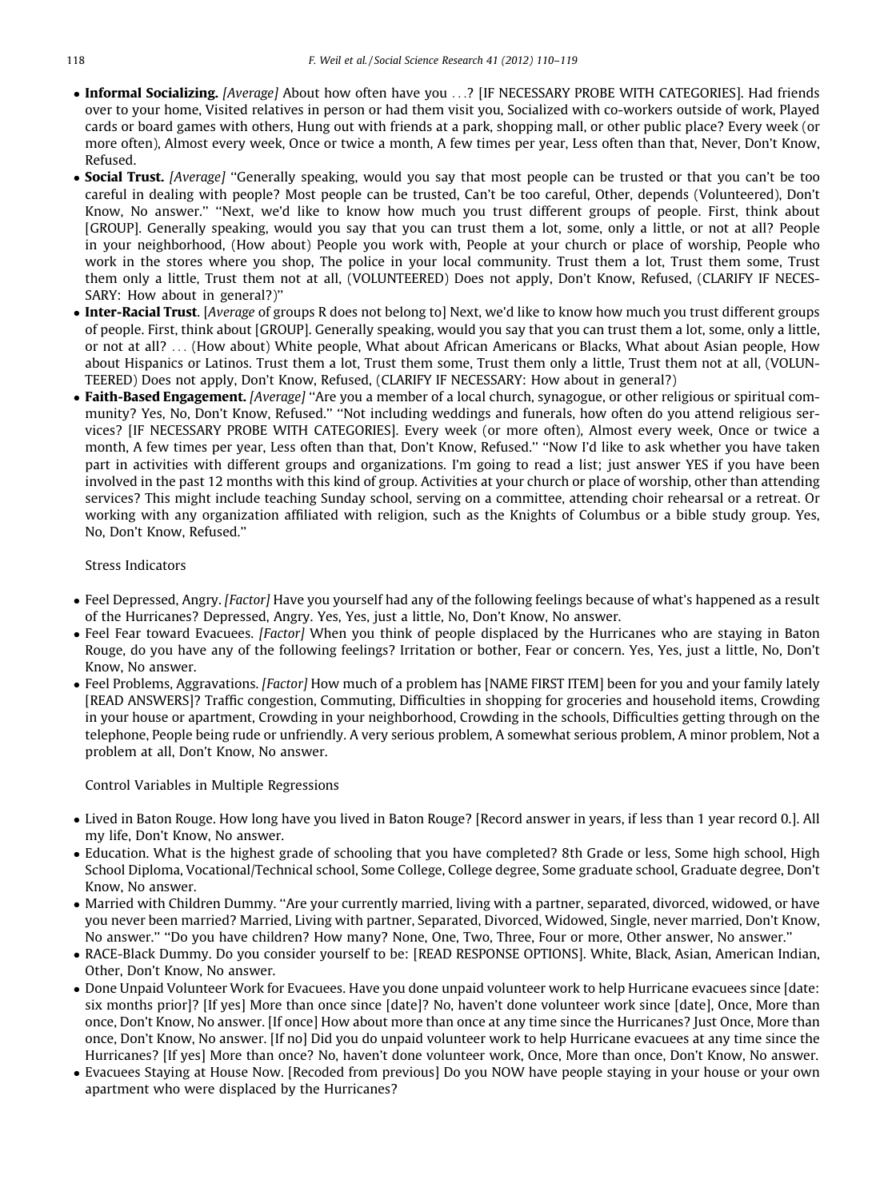- Informal Socializing. [Average] About how often have you ...? [IF NECESSARY PROBE WITH CATEGORIES]. Had friends over to your home, Visited relatives in person or had them visit you, Socialized with co-workers outside of work, Played cards or board games with others, Hung out with friends at a park, shopping mall, or other public place? Every week (or more often), Almost every week, Once or twice a month, A few times per year, Less often than that, Never, Don't Know, Refused.
- Social Trust. [Average] "Generally speaking, would you say that most people can be trusted or that you can't be too careful in dealing with people? Most people can be trusted, Can't be too careful, Other, depends (Volunteered), Don't Know, No answer.'' ''Next, we'd like to know how much you trust different groups of people. First, think about [GROUP]. Generally speaking, would you say that you can trust them a lot, some, only a little, or not at all? People in your neighborhood, (How about) People you work with, People at your church or place of worship, People who work in the stores where you shop, The police in your local community. Trust them a lot, Trust them some, Trust them only a little, Trust them not at all, (VOLUNTEERED) Does not apply, Don't Know, Refused, (CLARIFY IF NECES-SARY: How about in general?)''
- Inter-Racial Trust. [Average of groups R does not belong to] Next, we'd like to know how much you trust different groups of people. First, think about [GROUP]. Generally speaking, would you say that you can trust them a lot, some, only a little, or not at all? ... (How about) White people, What about African Americans or Blacks, What about Asian people, How about Hispanics or Latinos. Trust them a lot, Trust them some, Trust them only a little, Trust them not at all, (VOLUN-TEERED) Does not apply, Don't Know, Refused, (CLARIFY IF NECESSARY: How about in general?)
- Faith-Based Engagement. [Average] "Are you a member of a local church, synagogue, or other religious or spiritual community? Yes, No, Don't Know, Refused.'' ''Not including weddings and funerals, how often do you attend religious services? [IF NECESSARY PROBE WITH CATEGORIES]. Every week (or more often), Almost every week, Once or twice a month, A few times per year, Less often than that, Don't Know, Refused.'' ''Now I'd like to ask whether you have taken part in activities with different groups and organizations. I'm going to read a list; just answer YES if you have been involved in the past 12 months with this kind of group. Activities at your church or place of worship, other than attending services? This might include teaching Sunday school, serving on a committee, attending choir rehearsal or a retreat. Or working with any organization affiliated with religion, such as the Knights of Columbus or a bible study group. Yes, No, Don't Know, Refused.''

## Stress Indicators

- Feel Depressed, Angry. [Factor] Have you yourself had any of the following feelings because of what's happened as a result of the Hurricanes? Depressed, Angry. Yes, Yes, just a little, No, Don't Know, No answer.
- Feel Fear toward Evacuees. [Factor] When you think of people displaced by the Hurricanes who are staying in Baton Rouge, do you have any of the following feelings? Irritation or bother, Fear or concern. Yes, Yes, just a little, No, Don't Know, No answer.
- Feel Problems, Aggravations. [Factor] How much of a problem has [NAME FIRST ITEM] been for you and your family lately [READ ANSWERS]? Traffic congestion, Commuting, Difficulties in shopping for groceries and household items, Crowding in your house or apartment, Crowding in your neighborhood, Crowding in the schools, Difficulties getting through on the telephone, People being rude or unfriendly. A very serious problem, A somewhat serious problem, A minor problem, Not a problem at all, Don't Know, No answer.

Control Variables in Multiple Regressions

- Lived in Baton Rouge. How long have you lived in Baton Rouge? [Record answer in years, if less than 1 year record 0.]. All my life, Don't Know, No answer.
- Education. What is the highest grade of schooling that you have completed? 8th Grade or less, Some high school, High School Diploma, Vocational/Technical school, Some College, College degree, Some graduate school, Graduate degree, Don't Know, No answer.
- Married with Children Dummy. ''Are your currently married, living with a partner, separated, divorced, widowed, or have you never been married? Married, Living with partner, Separated, Divorced, Widowed, Single, never married, Don't Know, No answer.'' ''Do you have children? How many? None, One, Two, Three, Four or more, Other answer, No answer.''
- RACE-Black Dummy. Do you consider yourself to be: [READ RESPONSE OPTIONS]. White, Black, Asian, American Indian, Other, Don't Know, No answer.
- Done Unpaid Volunteer Work for Evacuees. Have you done unpaid volunteer work to help Hurricane evacuees since [date: six months prior]? [If yes] More than once since [date]? No, haven't done volunteer work since [date], Once, More than once, Don't Know, No answer. [If once] How about more than once at any time since the Hurricanes? Just Once, More than once, Don't Know, No answer. [If no] Did you do unpaid volunteer work to help Hurricane evacuees at any time since the Hurricanes? [If yes] More than once? No, haven't done volunteer work, Once, More than once, Don't Know, No answer.
- Evacuees Staying at House Now. [Recoded from previous] Do you NOW have people staying in your house or your own apartment who were displaced by the Hurricanes?